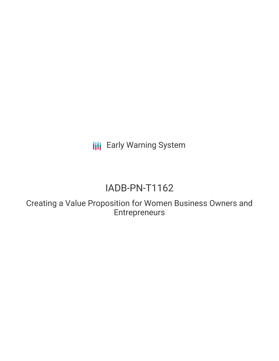**III** Early Warning System

# IADB-PN-T1162

Creating a Value Proposition for Women Business Owners and Entrepreneurs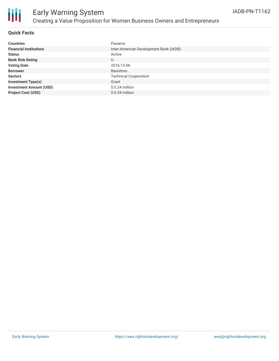

### **Quick Facts**

| <b>Countries</b>               | Panama                                 |
|--------------------------------|----------------------------------------|
| <b>Financial Institutions</b>  | Inter-American Development Bank (IADB) |
| <b>Status</b>                  | Active                                 |
| <b>Bank Risk Rating</b>        | U                                      |
| <b>Voting Date</b>             | 2016-12-06                             |
| <b>Borrower</b>                | Banistmo                               |
| <b>Sectors</b>                 | <b>Technical Cooperation</b>           |
| <b>Investment Type(s)</b>      | Grant                                  |
| <b>Investment Amount (USD)</b> | $$0.24$ million                        |
| <b>Project Cost (USD)</b>      | $$0.54$ million                        |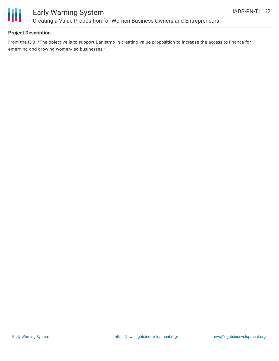

## Early Warning System Creating a Value Proposition for Women Business Owners and Entrepreneurs

### **Project Description**

From the IDB: "The objective is to support Banistmo in creating value proposition to increase the access to finance for emerging and growing women-led businesses."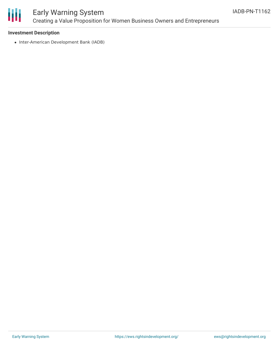

# Early Warning System Creating a Value Proposition for Women Business Owners and Entrepreneurs

#### **Investment Description**

• Inter-American Development Bank (IADB)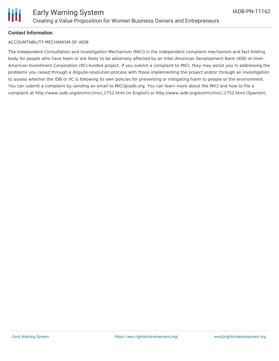

#### **Contact Information**

#### ACCOUNTABILITY MECHANISM OF IADB

The Independent Consultation and Investigation Mechanism (MICI) is the independent complaint mechanism and fact-finding body for people who have been or are likely to be adversely affected by an Inter-American Development Bank (IDB) or Inter-American Investment Corporation (IIC)-funded project. If you submit a complaint to MICI, they may assist you in addressing the problems you raised through a dispute-resolution process with those implementing the project and/or through an investigation to assess whether the IDB or IIC is following its own policies for preventing or mitigating harm to people or the environment. You can submit a complaint by sending an email to MICI@iadb.org. You can learn more about the MICI and how to file a complaint at http://www.iadb.org/en/mici/mici,1752.html (in English) or http://www.iadb.org/es/mici/mici,1752.html (Spanish).